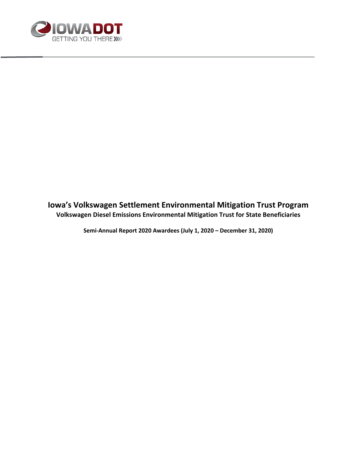

## **Iowa's Volkswagen Settlement Environmental Mitigation Trust Program Volkswagen Diesel Emissions Environmental Mitigation Trust for State Beneficiaries**

**Semi-Annual Report 2020 Awardees (July 1, 2020 – December 31, 2020)**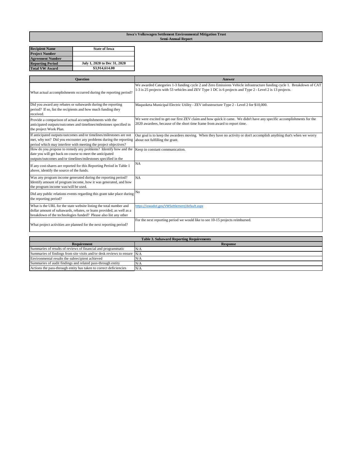## **Iowa's Volkswagen Settlement Environmental Mitigation Trust Semi-Annual Report**

| <b>Recipient Name</b>   | <b>State of Iowa</b>         |
|-------------------------|------------------------------|
| <b>Project Number</b>   |                              |
| <b>Agreement Number</b> |                              |
| <b>Reporting Period</b> | July 1, 2020 to Dec 31, 2020 |
| <b>Total VW Award</b>   | \$3,914,614.00               |

| <b>Question</b>                                                                                                                                                                                                | Answer                                                                                                                                                                                                                            |
|----------------------------------------------------------------------------------------------------------------------------------------------------------------------------------------------------------------|-----------------------------------------------------------------------------------------------------------------------------------------------------------------------------------------------------------------------------------|
| What actual accomplishments occurred during the reporting period?                                                                                                                                              | We awarded Categories 1-3 funding cycle 2 and Zero Emissions Vehicle infrastructure funding cycle 1. Breakdown of CAT<br>1-3 is 25 projects with 53 vehicles and ZEV Type 1 DC is 6 projects and Type 2 - Level 2 is 13 projects. |
| Did you award any rebates or subawards during the reporting<br>period? If so, list the recipients and how much funding they<br>received.                                                                       | Maquoketa Municipal Electric Utility - ZEV infrastructure Type 2 - Level 2 for \$10,000.                                                                                                                                          |
| Provide a comparison of actual accomplishments with the<br>anticipated outputs/outcomes and timelines/milestones specified in<br>the project Work Plan.                                                        | We were excited to get our first ZEV claim and how quick it came. We didn't have any specific accomplishments for the<br>2020 awardees, because of the short time frame from award to report time.                                |
| If anticipated outputs/outcomes and/or timelines/milestones are not<br>met, why not? Did you encounter any problems during the reporting<br>period which may interfere with meeting the project objectives?    | Our goal is to keep the awardees moving. When they have no activity or don't accomplish anything that's when we worry<br>about not fulfilling the grant.                                                                          |
| How do you propose to remedy any problems? Identify how and the<br>date you will get back on course to meet the anticipated<br>outputs/outcomes and/or timelines/milestones specified in the                   | Keep in constant communication.                                                                                                                                                                                                   |
| If any cost-shares are reported for this Reporting Period in Table 1<br>above, identify the source of the funds.                                                                                               | <b>NA</b>                                                                                                                                                                                                                         |
| Was any program income generated during the reporting period?<br>Identify amount of program income, how it was generated, and how<br>the program income was/will be used.                                      | NA                                                                                                                                                                                                                                |
| Did any public relations events regarding this grant take place during<br>the reporting period?                                                                                                                | N <sub>o</sub>                                                                                                                                                                                                                    |
| What is the URL for the state website listing the total number and<br>dollar amount of subawards, rebates, or loans provided, as well as a<br>breakdown of the technologies funded? Please also list any other | https://iowadot.gov/VWSettlement/default.aspx                                                                                                                                                                                     |
| What project activities are planned for the next reporting period?                                                                                                                                             | For the next reporting period we would like to see 10-15 projects reimbursed.                                                                                                                                                     |

| <b>Table 3. Subaward Reporting Requirements</b>                          |                 |  |
|--------------------------------------------------------------------------|-----------------|--|
| Requirement                                                              | <b>Response</b> |  |
| Summaries of results of reviews of financial and programmatic            | N/A             |  |
| Summaries of findings from site visits and/or desk reviews to ensure N/A |                 |  |
| Environmental results the subrecipient achieved                          | N/A             |  |
| Summaries of audit findings and related pass-through entity              | N/A             |  |
| Actions the pass-through entity has taken to correct deficiencies        | N/A             |  |